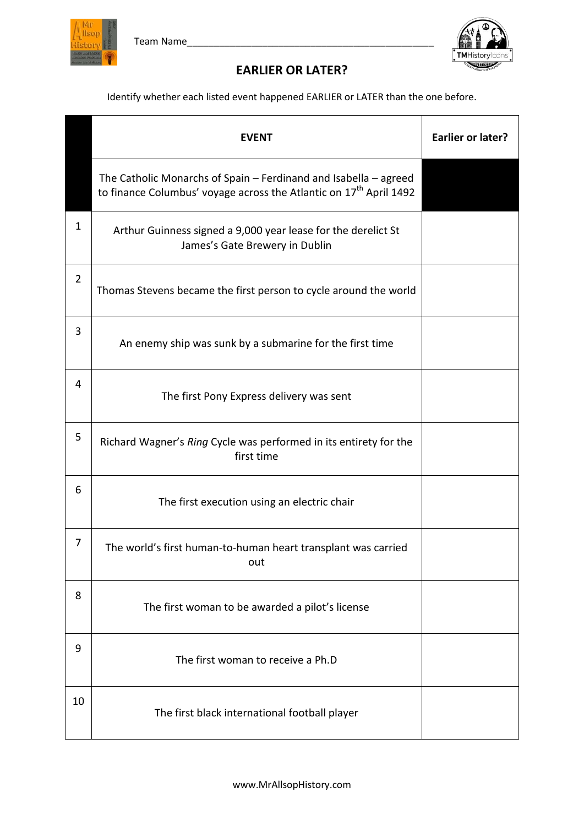



## **EARLIER OR LATER?**

Identify whether each listed event happened EARLIER or LATER than the one before.

|                | <b>EVENT</b>                                                                                                                                       | <b>Earlier or later?</b> |
|----------------|----------------------------------------------------------------------------------------------------------------------------------------------------|--------------------------|
|                | The Catholic Monarchs of Spain - Ferdinand and Isabella - agreed<br>to finance Columbus' voyage across the Atlantic on 17 <sup>th</sup> April 1492 |                          |
| 1              | Arthur Guinness signed a 9,000 year lease for the derelict St<br>James's Gate Brewery in Dublin                                                    |                          |
| $\overline{2}$ | Thomas Stevens became the first person to cycle around the world                                                                                   |                          |
| 3              | An enemy ship was sunk by a submarine for the first time                                                                                           |                          |
| 4              | The first Pony Express delivery was sent                                                                                                           |                          |
| 5              | Richard Wagner's Ring Cycle was performed in its entirety for the<br>first time                                                                    |                          |
| 6              | The first execution using an electric chair                                                                                                        |                          |
| 7              | The world's first human-to-human heart transplant was carried<br>out                                                                               |                          |
| 8              | The first woman to be awarded a pilot's license                                                                                                    |                          |
| 9              | The first woman to receive a Ph.D                                                                                                                  |                          |
| 10             | The first black international football player                                                                                                      |                          |